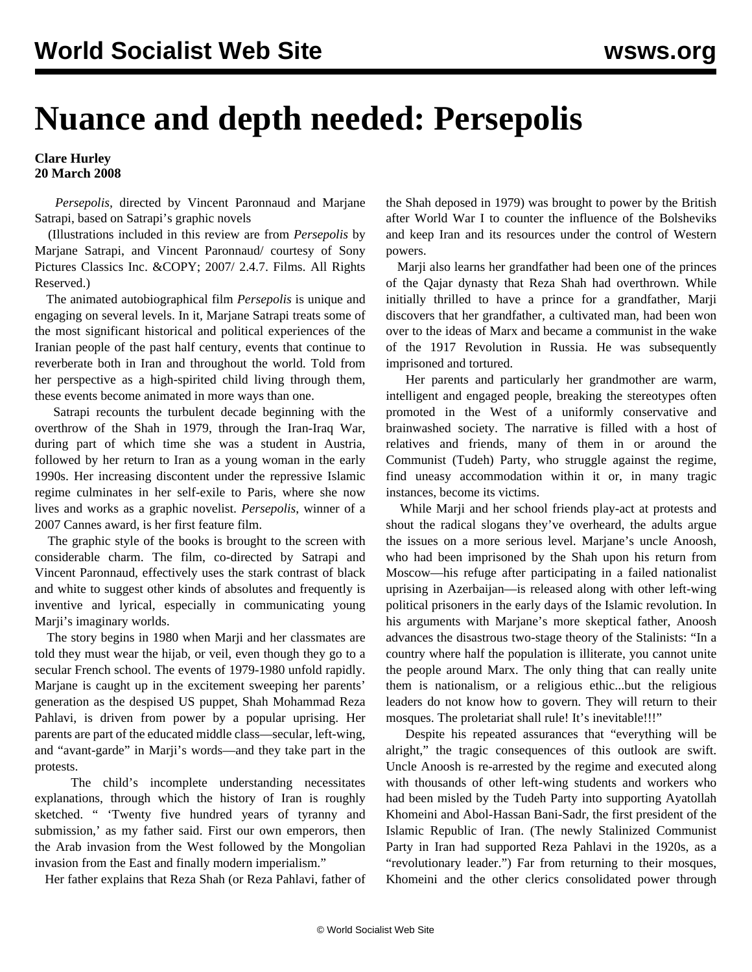## **Nuance and depth needed: Persepolis**

## **Clare Hurley 20 March 2008**

 *Persepolis,* directed by Vincent Paronnaud and Marjane Satrapi, based on Satrapi's graphic novels

 (Illustrations included in this review are from *Persepolis* by Marjane Satrapi, and Vincent Paronnaud/ courtesy of Sony Pictures Classics Inc. & COPY; 2007/ 2.4.7. Films. All Rights Reserved.)

The animated autobiographical film *Persepolis* is unique and engaging on several levels. In it, Marjane Satrapi treats some of the most significant historical and political experiences of the Iranian people of the past half century, events that continue to reverberate both in Iran and throughout the world. Told from her perspective as a high-spirited child living through them, these events become animated in more ways than one.

 Satrapi recounts the turbulent decade beginning with the overthrow of the Shah in 1979, through the Iran-Iraq War, during part of which time she was a student in Austria, followed by her return to Iran as a young woman in the early 1990s. Her increasing discontent under the repressive Islamic regime culminates in her self-exile to Paris, where she now lives and works as a graphic novelist. *Persepolis*, winner of a 2007 Cannes award, is her first feature film.

 inventive and lyrical, especially in communicating young The graphic style of the books is brought to the screen with considerable charm. The film, co-directed by Satrapi and Vincent Paronnaud, effectively uses the stark contrast of black and white to suggest other kinds of absolutes and frequently is Marji's imaginary worlds.

The story begins in 1980 when Marji and her classmates are told they must wear the hijab, or veil, even though they go to a secular French school. The events of 1979-1980 unfold rapidly. Marjane is caught up in the excitement sweeping her parents' generation as the despised US puppet, Shah Mohammad Reza Pahlavi, is driven from power by a popular uprising. Her parents are part of the educated middle class—secular, left-wing, and "avant-garde" in Marji's words—and they take part in the protests.

 The child's incomplete understanding necessitates explanations, through which the history of Iran is roughly sketched. " 'Twenty five hundred years of tyranny and submission,' as my father said. First our own emperors, then the Arab invasion from the West followed by the Mongolian invasion from the East and finally modern imperialism."

Her father explains that Reza Shah (or Reza Pahlavi, father of

the Shah deposed in 1979) was brought to power by the British after World War I to counter the influence of the Bolsheviks and keep Iran and its resources under the control of Western powers.

 Marji also learns her grandfather had been one of the princes of the Qajar dynasty that Reza Shah had overthrown. While initially thrilled to have a prince for a grandfather, Marji discovers that her grandfather, a cultivated man, had been won over to the ideas of Marx and became a communist in the wake of the 1917 Revolution in Russia. He was subsequently imprisoned and tortured.

Her parents and particularly her grandmother are warm, intelligent and engaged people, breaking the stereotypes often promoted in the West of a uniformly conservative and brainwashed society. The narrative is filled with a host of relatives and friends, many of them in or around the Communist (Tudeh) Party, who struggle against the regime, find uneasy accommodation within it or, in many tragic instances, become its victims.

 While Marji and her school friends play-act at protests and shout the radical slogans they've overheard, the adults argue the issues on a more serious level. Marjane's uncle Anoosh, who had been imprisoned by the Shah upon his return from Moscow—his refuge after participating in a failed nationalist uprising in Azerbaijan—is released along with other left-wing political prisoners in the early days of the Islamic revolution. In his arguments with Marjane's more skeptical father, Anoosh advances the disastrous two-stage theory of the Stalinists: "In a country where half the population is illiterate, you cannot unite the people around Marx. The only thing that can really unite them is nationalism, or a religious ethic...but the religious leaders do not know how to govern. They will return to their mosques. The proletariat shall rule! It's inevitable!!!"

 Uncle Anoosh is re-arrested by the regime and executed along Despite his repeated assurances that "everything will be alright," the tragic consequences of this outlook are swift. with thousands of other left-wing students and workers who had been misled by the Tudeh Party into supporting Ayatollah Khomeini and Abol-Hassan Bani-Sadr, the first president of the Islamic Republic of Iran. (The newly Stalinized Communist Party in Iran had supported Reza Pahlavi in the 1920s, as a "revolutionary leader.") Far from returning to their mosques, Khomeini and the other clerics consolidated power through